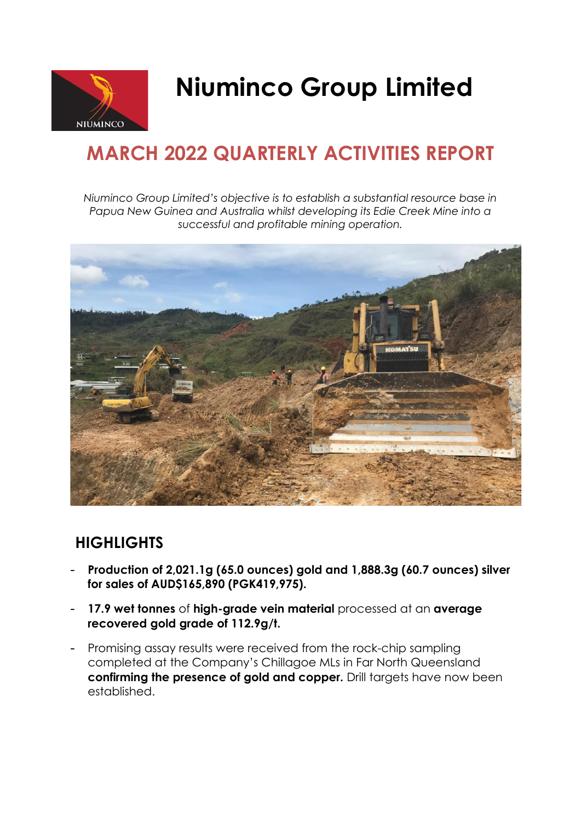

# **Niuminco Group Limited**

## **MARCH 2022 QUARTERLY ACTIVITIES REPORT**

*Niuminco Group Limited's objective is to establish a substantial resource base in Papua New Guinea and Australia whilst developing its Edie Creek Mine into a successful and profitable mining operation.*



## **HIGHLIGHTS**

- **Production of 2,021.1g (65.0 ounces) gold and 1,888.3g (60.7 ounces) silver for sales of AUD\$165,890 (PGK419,975).**
- **17.9 wet tonnes** of **high-grade vein material** processed at an **average recovered gold grade of 112.9g/t.**
- Promising assay results were received from the rock-chip sampling completed at the Company's Chillagoe MLs in Far North Queensland **confirming the presence of gold and copper.** Drill targets have now been established.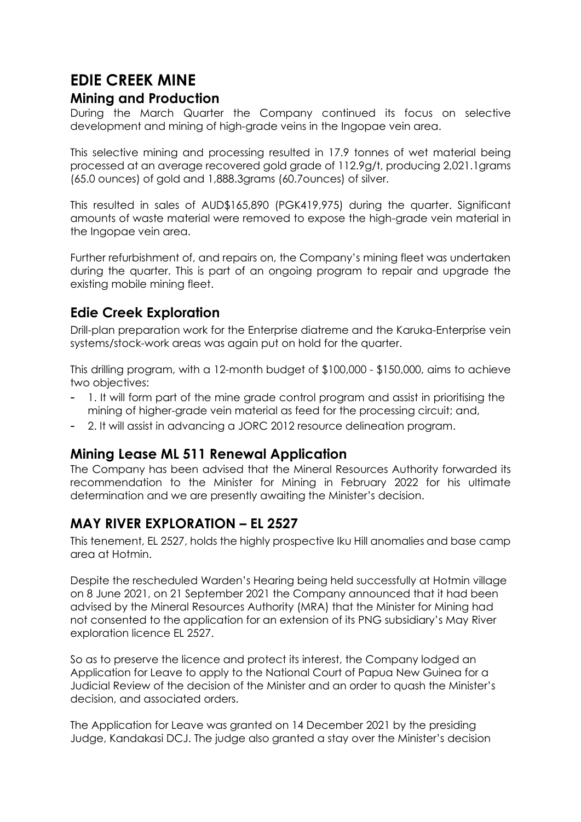## **EDIE CREEK MINE**

#### **Mining and Production**

During the March Quarter the Company continued its focus on selective development and mining of high-grade veins in the Ingopae vein area.

This selective mining and processing resulted in 17.9 tonnes of wet material being processed at an average recovered gold grade of 112.9g/t, producing 2,021.1grams (65.0 ounces) of gold and 1,888.3grams (60.7ounces) of silver.

This resulted in sales of AUD\$165,890 (PGK419,975) during the quarter. Significant amounts of waste material were removed to expose the high-grade vein material in the Ingopae vein area.

Further refurbishment of, and repairs on, the Company's mining fleet was undertaken during the quarter. This is part of an ongoing program to repair and upgrade the existing mobile mining fleet.

#### **Edie Creek Exploration**

Drill-plan preparation work for the Enterprise diatreme and the Karuka-Enterprise vein systems/stock-work areas was again put on hold for the quarter.

This drilling program, with a 12-month budget of \$100,000 - \$150,000, aims to achieve two objectives:

- 1. It will form part of the mine grade control program and assist in prioritising the mining of higher-grade vein material as feed for the processing circuit; and,
- 2. It will assist in advancing a JORC 2012 resource delineation program.

#### **Mining Lease ML 511 Renewal Application**

The Company has been advised that the Mineral Resources Authority forwarded its recommendation to the Minister for Mining in February 2022 for his ultimate determination and we are presently awaiting the Minister's decision.

#### **MAY RIVER EXPLORATION – EL 2527**

This tenement, EL 2527, holds the highly prospective Iku Hill anomalies and base camp area at Hotmin.

Despite the rescheduled Warden's Hearing being held successfully at Hotmin village on 8 June 2021, on 21 September 2021 the Company announced that it had been advised by the Mineral Resources Authority (MRA) that the Minister for Mining had not consented to the application for an extension of its PNG subsidiary's May River exploration licence EL 2527.

So as to preserve the licence and protect its interest, the Company lodged an Application for Leave to apply to the National Court of Papua New Guinea for a Judicial Review of the decision of the Minister and an order to quash the Minister's decision, and associated orders.

The Application for Leave was granted on 14 December 2021 by the presiding Judge, Kandakasi DCJ. The judge also granted a stay over the Minister's decision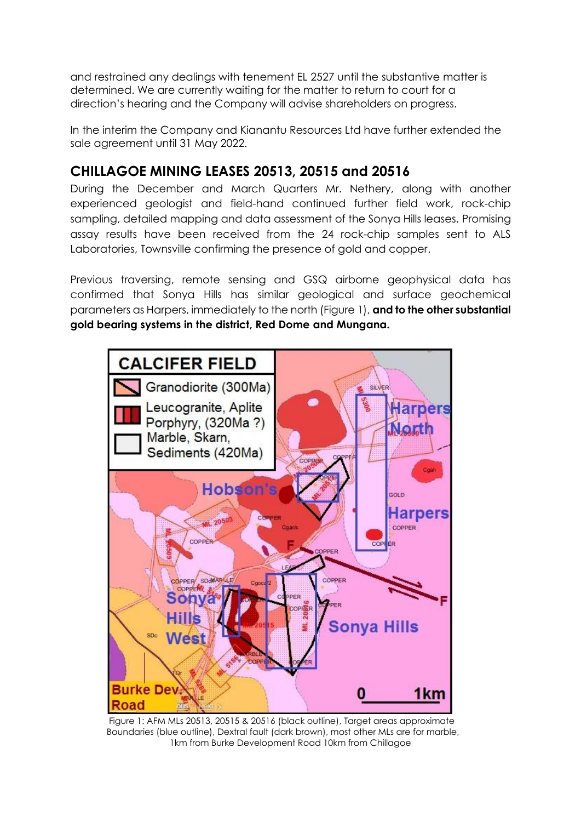and restrained any dealings with tenement EL 2527 until the substantive matter is determined. We are currently waiting for the matter to return to court for a direction's hearing and the Company will advise shareholders on progress.

In the interim the Company and Kianantu Resources Ltd have further extended the sale agreement until 31 May 2022.

#### **CHILLAGOE MINING LEASES 20513, 20515 and 20516**

During the December and March Quarters Mr. Nethery, along with another experienced geologist and field-hand continued further field work, rock-chip sampling, detailed mapping and data assessment of the Sonya Hills leases. Promising assay results have been received from the 24 rock-chip samples sent to ALS Laboratories, Townsville confirming the presence of gold and copper.

Previous traversing, remote sensing and GSQ airborne geophysical data has confirmed that Sonya Hills has similar geological and surface geochemical parameters as Harpers, immediately to the north (Figure 1), **and to the other substantial gold bearing systems in the district, Red Dome and Mungana.**



 Figure 1: AFM MLs 20513, 20515 & 20516 (black outline), Target areas approximate Boundaries (blue outline), Dextral fault (dark brown), most other MLs are for marble, 1km from Burke Development Road 10km from Chillagoe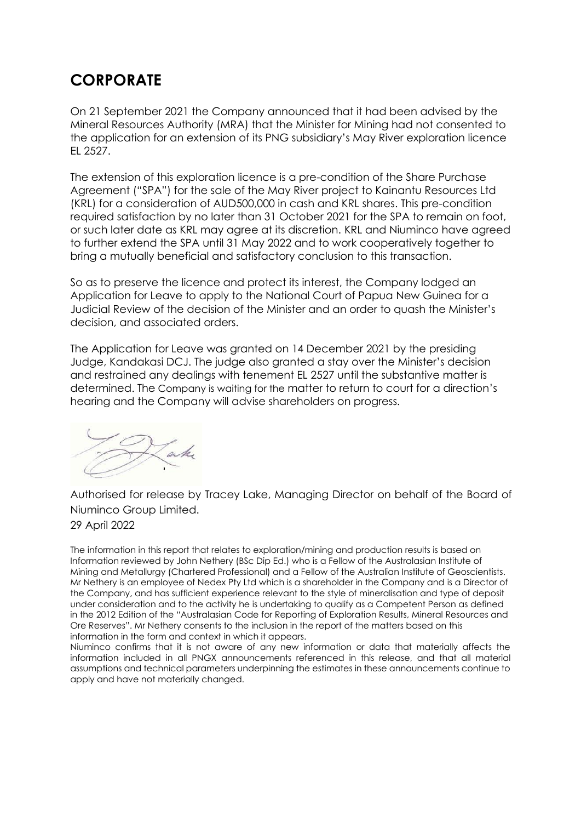### **CORPORATE**

On 21 September 2021 the Company announced that it had been advised by the Mineral Resources Authority (MRA) that the Minister for Mining had not consented to the application for an extension of its PNG subsidiary's May River exploration licence EL 2527.

The extension of this exploration licence is a pre-condition of the Share Purchase Agreement ("SPA") for the sale of the May River project to Kainantu Resources Ltd (KRL) for a consideration of AUD500,000 in cash and KRL shares. This pre-condition required satisfaction by no later than 31 October 2021 for the SPA to remain on foot, or such later date as KRL may agree at its discretion. KRL and Niuminco have agreed to further extend the SPA until 31 May 2022 and to work cooperatively together to bring a mutually beneficial and satisfactory conclusion to this transaction.

So as to preserve the licence and protect its interest, the Company lodged an Application for Leave to apply to the National Court of Papua New Guinea for a Judicial Review of the decision of the Minister and an order to quash the Minister's decision, and associated orders.

The Application for Leave was granted on 14 December 2021 by the presiding Judge, Kandakasi DCJ. The judge also granted a stay over the Minister's decision and restrained any dealings with tenement EL 2527 until the substantive matter is determined. The Company is waiting for the matter to return to court for a direction's hearing and the Company will advise shareholders on progress.



Authorised for release by Tracey Lake, Managing Director on behalf of the Board of Niuminco Group Limited.

29 April 2022

The information in this report that relates to exploration/mining and production results is based on Information reviewed by John Nethery (BSc Dip Ed.) who is a Fellow of the Australasian Institute of Mining and Metallurgy (Chartered Professional) and a Fellow of the Australian Institute of Geoscientists. Mr Nethery is an employee of Nedex Pty Ltd which is a shareholder in the Company and is a Director of the Company, and has sufficient experience relevant to the style of mineralisation and type of deposit under consideration and to the activity he is undertaking to qualify as a Competent Person as defined in the 2012 Edition of the "Australasian Code for Reporting of Exploration Results, Mineral Resources and Ore Reserves". Mr Nethery consents to the inclusion in the report of the matters based on this information in the form and context in which it appears.

Niuminco confirms that it is not aware of any new information or data that materially affects the information included in all PNGX announcements referenced in this release, and that all material assumptions and technical parameters underpinning the estimates in these announcements continue to apply and have not materially changed.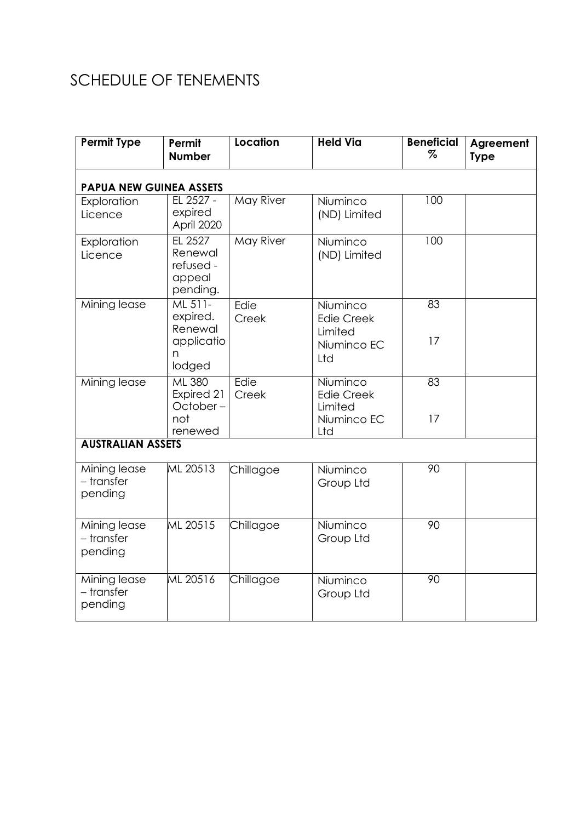## SCHEDULE OF TENEMENTS

| <b>Permit Type</b>                    | Permit<br><b>Number</b>                                     | Location         | <b>Held Via</b>                                                | <b>Beneficial</b><br>$\%$ | Agreement<br><b>Type</b> |
|---------------------------------------|-------------------------------------------------------------|------------------|----------------------------------------------------------------|---------------------------|--------------------------|
| <b>PAPUA NEW GUINEA ASSETS</b>        |                                                             |                  |                                                                |                           |                          |
| Exploration<br>Licence                | EL 2527 -<br>expired<br>April 2020                          | May River        | Niuminco<br>(ND) Limited                                       | 100                       |                          |
| Exploration<br>Licence                | EL 2527<br>Renewal<br>refused -<br>appeal<br>pending.       | <b>May River</b> | Niuminco<br>(ND) Limited                                       | 100                       |                          |
| Mining lease                          | ML 511-<br>expired.<br>Renewal<br>applicatio<br>n<br>lodged | Edie<br>Creek    | Niuminco<br><b>Edie Creek</b><br>Limited<br>Niuminco EC<br>Ltd | 83<br>17                  |                          |
| Mining lease                          | <b>ML 380</b><br>Expired 21<br>October-<br>not<br>renewed   | Edie<br>Creek    | Niuminco<br><b>Edie Creek</b><br>Limited<br>Niuminco EC<br>Ltd | 83<br>17                  |                          |
| <b>AUSTRALIAN ASSETS</b>              |                                                             |                  |                                                                |                           |                          |
| Mining lease<br>- transfer<br>pending | ML 20513                                                    | Chillagoe        | Niuminco<br>Group Ltd                                          | 90                        |                          |
| Mining lease<br>- transfer<br>pending | ML 20515                                                    | Chillagoe        | Niuminco<br>Group Ltd                                          | 90                        |                          |
| Mining lease<br>- transfer<br>pending | ML 20516                                                    | Chillagoe        | Niuminco<br>Group Ltd                                          | 90                        |                          |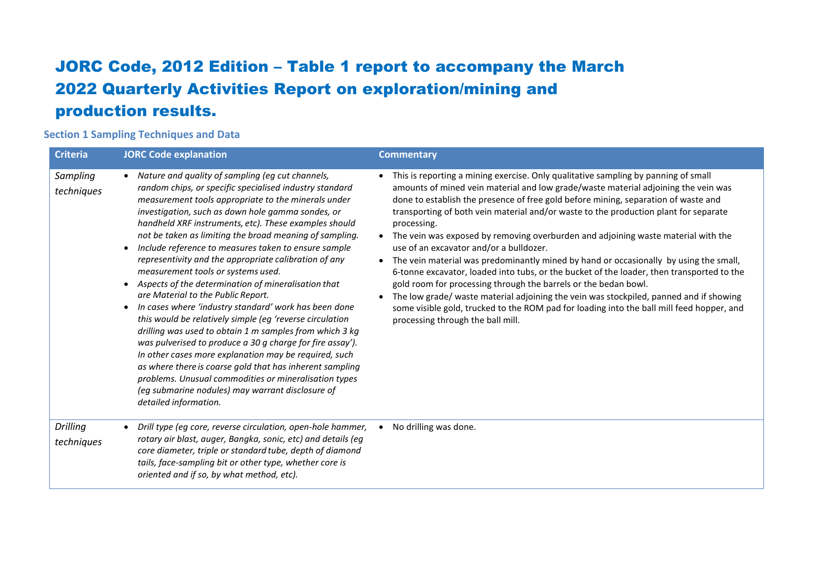## JORC Code, 2012 Edition – Table 1 report to accompany the March 2022 Quarterly Activities Report on exploration/mining and production results.

#### **Section 1 Sampling Techniques and Data**

| <b>Criteria</b>               | <b>JORC Code explanation</b>                                                                                                                                                                                                                                                                                                                                                                                                                                                                                                                                                                                                                                                                                                                                                                                                                                                                                                                                                                                                                                                                                         | <b>Commentary</b>                                                                                                                                                                                                                                                                                                                                                                                                                                                                                                                                                                                                                                                                                                                                                                                                                                                                                                                                                                            |
|-------------------------------|----------------------------------------------------------------------------------------------------------------------------------------------------------------------------------------------------------------------------------------------------------------------------------------------------------------------------------------------------------------------------------------------------------------------------------------------------------------------------------------------------------------------------------------------------------------------------------------------------------------------------------------------------------------------------------------------------------------------------------------------------------------------------------------------------------------------------------------------------------------------------------------------------------------------------------------------------------------------------------------------------------------------------------------------------------------------------------------------------------------------|----------------------------------------------------------------------------------------------------------------------------------------------------------------------------------------------------------------------------------------------------------------------------------------------------------------------------------------------------------------------------------------------------------------------------------------------------------------------------------------------------------------------------------------------------------------------------------------------------------------------------------------------------------------------------------------------------------------------------------------------------------------------------------------------------------------------------------------------------------------------------------------------------------------------------------------------------------------------------------------------|
| Sampling<br>techniques        | Nature and quality of sampling (eg cut channels,<br>$\bullet$<br>random chips, or specific specialised industry standard<br>measurement tools appropriate to the minerals under<br>investigation, such as down hole gamma sondes, or<br>handheld XRF instruments, etc). These examples should<br>not be taken as limiting the broad meaning of sampling.<br>Include reference to measures taken to ensure sample<br>representivity and the appropriate calibration of any<br>measurement tools or systems used.<br>Aspects of the determination of mineralisation that<br>are Material to the Public Report.<br>In cases where 'industry standard' work has been done<br>this would be relatively simple (eg 'reverse circulation<br>drilling was used to obtain 1 m samples from which 3 kg<br>was pulverised to produce a 30 g charge for fire assay').<br>In other cases more explanation may be required, such<br>as where there is coarse gold that has inherent sampling<br>problems. Unusual commodities or mineralisation types<br>(eg submarine nodules) may warrant disclosure of<br>detailed information. | This is reporting a mining exercise. Only qualitative sampling by panning of small<br>amounts of mined vein material and low grade/waste material adjoining the vein was<br>done to establish the presence of free gold before mining, separation of waste and<br>transporting of both vein material and/or waste to the production plant for separate<br>processing.<br>• The vein was exposed by removing overburden and adjoining waste material with the<br>use of an excavator and/or a bulldozer.<br>The vein material was predominantly mined by hand or occasionally by using the small,<br>6-tonne excavator, loaded into tubs, or the bucket of the loader, then transported to the<br>gold room for processing through the barrels or the bedan bowl.<br>The low grade/ waste material adjoining the vein was stockpiled, panned and if showing<br>some visible gold, trucked to the ROM pad for loading into the ball mill feed hopper, and<br>processing through the ball mill. |
| <b>Drilling</b><br>techniques | Drill type (eg core, reverse circulation, open-hole hammer,<br>$\bullet$<br>rotary air blast, auger, Bangka, sonic, etc) and details (eg<br>core diameter, triple or standard tube, depth of diamond<br>tails, face-sampling bit or other type, whether core is<br>oriented and if so, by what method, etc).                                                                                                                                                                                                                                                                                                                                                                                                                                                                                                                                                                                                                                                                                                                                                                                                         | No drilling was done.                                                                                                                                                                                                                                                                                                                                                                                                                                                                                                                                                                                                                                                                                                                                                                                                                                                                                                                                                                        |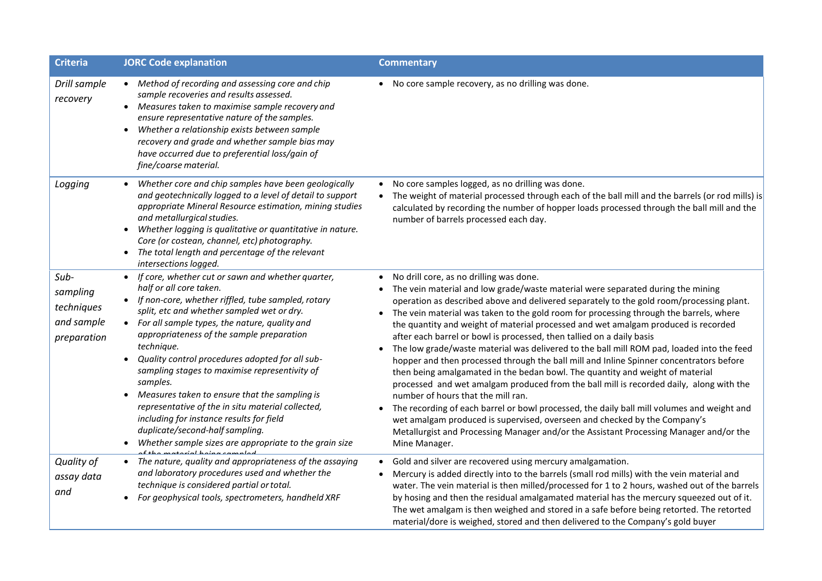| <b>Criteria</b>                                             | <b>JORC Code explanation</b>                                                                                                                                                                                                                                                                                                                                                                                                                                                                                                                                                                                                                                                     | <b>Commentary</b>                                                                                                                                                                                                                                                                                                                                                                                                                                                                                                                                                                                                                                                                                                                                                                                                                                                                                                                                                                                                                                                                                                                                                                            |
|-------------------------------------------------------------|----------------------------------------------------------------------------------------------------------------------------------------------------------------------------------------------------------------------------------------------------------------------------------------------------------------------------------------------------------------------------------------------------------------------------------------------------------------------------------------------------------------------------------------------------------------------------------------------------------------------------------------------------------------------------------|----------------------------------------------------------------------------------------------------------------------------------------------------------------------------------------------------------------------------------------------------------------------------------------------------------------------------------------------------------------------------------------------------------------------------------------------------------------------------------------------------------------------------------------------------------------------------------------------------------------------------------------------------------------------------------------------------------------------------------------------------------------------------------------------------------------------------------------------------------------------------------------------------------------------------------------------------------------------------------------------------------------------------------------------------------------------------------------------------------------------------------------------------------------------------------------------|
| Drill sample<br>recovery                                    | • Method of recording and assessing core and chip<br>sample recoveries and results assessed.<br>Measures taken to maximise sample recovery and<br>ensure representative nature of the samples.<br>Whether a relationship exists between sample<br>$\bullet$<br>recovery and grade and whether sample bias may<br>have occurred due to preferential loss/gain of<br>fine/coarse material.                                                                                                                                                                                                                                                                                         | • No core sample recovery, as no drilling was done.                                                                                                                                                                                                                                                                                                                                                                                                                                                                                                                                                                                                                                                                                                                                                                                                                                                                                                                                                                                                                                                                                                                                          |
| Logging                                                     | Whether core and chip samples have been geologically<br>and geotechnically logged to a level of detail to support<br>appropriate Mineral Resource estimation, mining studies<br>and metallurgical studies.<br>• Whether logging is qualitative or quantitative in nature.<br>Core (or costean, channel, etc) photography.<br>• The total length and percentage of the relevant<br>intersections logged.                                                                                                                                                                                                                                                                          | No core samples logged, as no drilling was done.<br>$\bullet$<br>The weight of material processed through each of the ball mill and the barrels (or rod mills) is<br>$\bullet$<br>calculated by recording the number of hopper loads processed through the ball mill and the<br>number of barrels processed each day.                                                                                                                                                                                                                                                                                                                                                                                                                                                                                                                                                                                                                                                                                                                                                                                                                                                                        |
| Sub-<br>sampling<br>techniques<br>and sample<br>preparation | • If core, whether cut or sawn and whether quarter,<br>half or all core taken.<br>• If non-core, whether riffled, tube sampled, rotary<br>split, etc and whether sampled wet or dry.<br>• For all sample types, the nature, quality and<br>appropriateness of the sample preparation<br>technique.<br>Quality control procedures adopted for all sub-<br>sampling stages to maximise representivity of<br>samples.<br>Measures taken to ensure that the sampling is<br>$\bullet$<br>representative of the in situ material collected,<br>including for instance results for field<br>duplicate/second-half sampling.<br>• Whether sample sizes are appropriate to the grain size | No drill core, as no drilling was done.<br>The vein material and low grade/waste material were separated during the mining<br>operation as described above and delivered separately to the gold room/processing plant.<br>The vein material was taken to the gold room for processing through the barrels, where<br>$\bullet$<br>the quantity and weight of material processed and wet amalgam produced is recorded<br>after each barrel or bowl is processed, then tallied on a daily basis<br>The low grade/waste material was delivered to the ball mill ROM pad, loaded into the feed<br>hopper and then processed through the ball mill and Inline Spinner concentrators before<br>then being amalgamated in the bedan bowl. The quantity and weight of material<br>processed and wet amalgam produced from the ball mill is recorded daily, along with the<br>number of hours that the mill ran.<br>The recording of each barrel or bowl processed, the daily ball mill volumes and weight and<br>wet amalgam produced is supervised, overseen and checked by the Company's<br>Metallurgist and Processing Manager and/or the Assistant Processing Manager and/or the<br>Mine Manager. |
| Quality of<br>assay data<br>and                             | • The nature, quality and appropriateness of the assaying<br>and laboratory procedures used and whether the<br>technique is considered partial or total.<br>For geophysical tools, spectrometers, handheld XRF                                                                                                                                                                                                                                                                                                                                                                                                                                                                   | Gold and silver are recovered using mercury amalgamation.<br>Mercury is added directly into to the barrels (small rod mills) with the vein material and<br>water. The vein material is then milled/processed for 1 to 2 hours, washed out of the barrels<br>by hosing and then the residual amalgamated material has the mercury squeezed out of it.<br>The wet amalgam is then weighed and stored in a safe before being retorted. The retorted<br>material/dore is weighed, stored and then delivered to the Company's gold buyer                                                                                                                                                                                                                                                                                                                                                                                                                                                                                                                                                                                                                                                          |

• .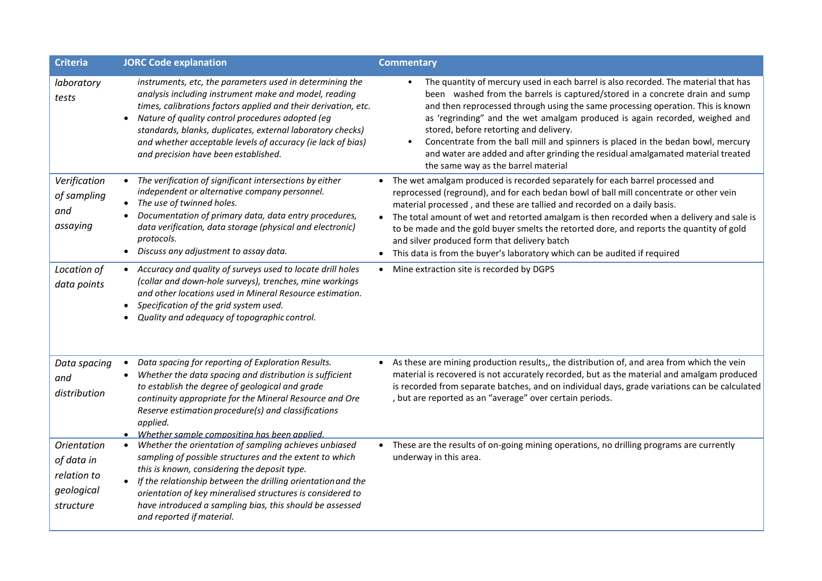| <b>Criteria</b>                                                            | <b>JORC Code explanation</b>                                                                                                                                                                                                                                                                                                                                                                                 | <b>Commentary</b>                                                                                                                                                                                                                                                                                                                                                                                                                                                                                                                                                                                                        |
|----------------------------------------------------------------------------|--------------------------------------------------------------------------------------------------------------------------------------------------------------------------------------------------------------------------------------------------------------------------------------------------------------------------------------------------------------------------------------------------------------|--------------------------------------------------------------------------------------------------------------------------------------------------------------------------------------------------------------------------------------------------------------------------------------------------------------------------------------------------------------------------------------------------------------------------------------------------------------------------------------------------------------------------------------------------------------------------------------------------------------------------|
| laboratory<br>tests                                                        | instruments, etc, the parameters used in determining the<br>analysis including instrument make and model, reading<br>times, calibrations factors applied and their derivation, etc.<br>Nature of quality control procedures adopted (eg<br>standards, blanks, duplicates, external laboratory checks)<br>and whether acceptable levels of accuracy (ie lack of bias)<br>and precision have been established. | The quantity of mercury used in each barrel is also recorded. The material that has<br>$\bullet$<br>been washed from the barrels is captured/stored in a concrete drain and sump<br>and then reprocessed through using the same processing operation. This is known<br>as 'regrinding" and the wet amalgam produced is again recorded, weighed and<br>stored, before retorting and delivery.<br>Concentrate from the ball mill and spinners is placed in the bedan bowl, mercury<br>$\bullet$<br>and water are added and after grinding the residual amalgamated material treated<br>the same way as the barrel material |
| Verification<br>of sampling<br>and<br>assaying                             | • The verification of significant intersections by either<br>independent or alternative company personnel.<br>• The use of twinned holes.<br>Documentation of primary data, data entry procedures,<br>data verification, data storage (physical and electronic)<br>protocols.<br>Discuss any adjustment to assay data.<br>$\bullet$                                                                          | The wet amalgam produced is recorded separately for each barrel processed and<br>reprocessed (reground), and for each bedan bowl of ball mill concentrate or other vein<br>material processed, and these are tallied and recorded on a daily basis.<br>The total amount of wet and retorted amalgam is then recorded when a delivery and sale is<br>$\bullet$<br>to be made and the gold buyer smelts the retorted dore, and reports the quantity of gold<br>and silver produced form that delivery batch<br>• This data is from the buyer's laboratory which can be audited if required                                 |
| Location of<br>data points                                                 | • Accuracy and quality of surveys used to locate drill holes<br>(collar and down-hole surveys), trenches, mine workings<br>and other locations used in Mineral Resource estimation.<br>Specification of the grid system used.<br>Quality and adequacy of topographic control.                                                                                                                                | Mine extraction site is recorded by DGPS<br>$\bullet$                                                                                                                                                                                                                                                                                                                                                                                                                                                                                                                                                                    |
| Data spacing<br>and<br>distribution                                        | Data spacing for reporting of Exploration Results.<br>$\bullet$<br>Whether the data spacing and distribution is sufficient<br>to establish the degree of geological and grade<br>continuity appropriate for the Mineral Resource and Ore<br>Reserve estimation procedure(s) and classifications<br>applied.<br>• Whether sample compositing has been applied.                                                | As these are mining production results,, the distribution of, and area from which the vein<br>$\bullet$<br>material is recovered is not accurately recorded, but as the material and amalgam produced<br>is recorded from separate batches, and on individual days, grade variations can be calculated<br>, but are reported as an "average" over certain periods.                                                                                                                                                                                                                                                       |
| <b>Orientation</b><br>of data in<br>relation to<br>geological<br>structure | Whether the orientation of sampling achieves unbiased<br>sampling of possible structures and the extent to which<br>this is known, considering the deposit type.<br>If the relationship between the drilling orientation and the<br>orientation of key mineralised structures is considered to<br>have introduced a sampling bias, this should be assessed<br>and reported if material.                      | These are the results of on-going mining operations, no drilling programs are currently<br>underway in this area.                                                                                                                                                                                                                                                                                                                                                                                                                                                                                                        |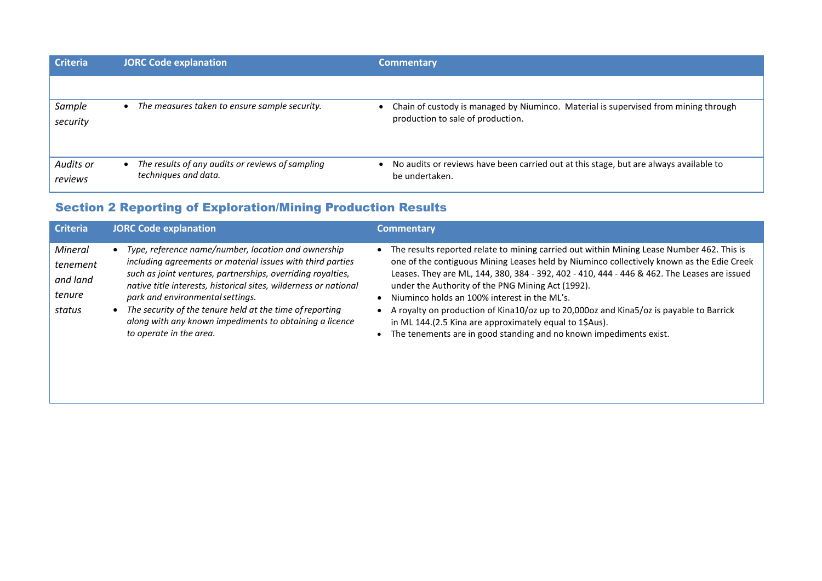| <b>Criteria</b>      | <b>JORC Code explanation</b>                                             | <b>Commentary</b>                                                                                                        |
|----------------------|--------------------------------------------------------------------------|--------------------------------------------------------------------------------------------------------------------------|
|                      |                                                                          |                                                                                                                          |
| Sample<br>security   | The measures taken to ensure sample security.                            | Chain of custody is managed by Niuminco. Material is supervised from mining through<br>production to sale of production. |
| Audits or<br>reviews | The results of any audits or reviews of sampling<br>techniques and data. | No audits or reviews have been carried out at this stage, but are always available to<br>be undertaken.                  |

### Section 2 Reporting of Exploration/Mining Production Results

| <b>Criteria</b>                                     | <b>JORC Code explanation</b>                                                                                                                                                                                                                                                                                                                                                                                                               | <b>Commentary</b>                                                                                                                                                                                                                                                                                                                                                                                                                                                                                                                                                                                                         |
|-----------------------------------------------------|--------------------------------------------------------------------------------------------------------------------------------------------------------------------------------------------------------------------------------------------------------------------------------------------------------------------------------------------------------------------------------------------------------------------------------------------|---------------------------------------------------------------------------------------------------------------------------------------------------------------------------------------------------------------------------------------------------------------------------------------------------------------------------------------------------------------------------------------------------------------------------------------------------------------------------------------------------------------------------------------------------------------------------------------------------------------------------|
| Mineral<br>tenement<br>and land<br>tenure<br>status | Type, reference name/number, location and ownership<br>including agreements or material issues with third parties<br>such as joint ventures, partnerships, overriding royalties,<br>native title interests, historical sites, wilderness or national<br>park and environmental settings.<br>The security of the tenure held at the time of reporting<br>along with any known impediments to obtaining a licence<br>to operate in the area. | • The results reported relate to mining carried out within Mining Lease Number 462. This is<br>one of the contiguous Mining Leases held by Niuminco collectively known as the Edie Creek<br>Leases. They are ML, 144, 380, 384 - 392, 402 - 410, 444 - 446 & 462. The Leases are issued<br>under the Authority of the PNG Mining Act (1992).<br>Niuminco holds an 100% interest in the ML's.<br>• A royalty on production of Kina10/oz up to 20,000oz and Kina5/oz is payable to Barrick<br>in ML 144.(2.5 Kina are approximately equal to 1\$Aus).<br>The tenements are in good standing and no known impediments exist. |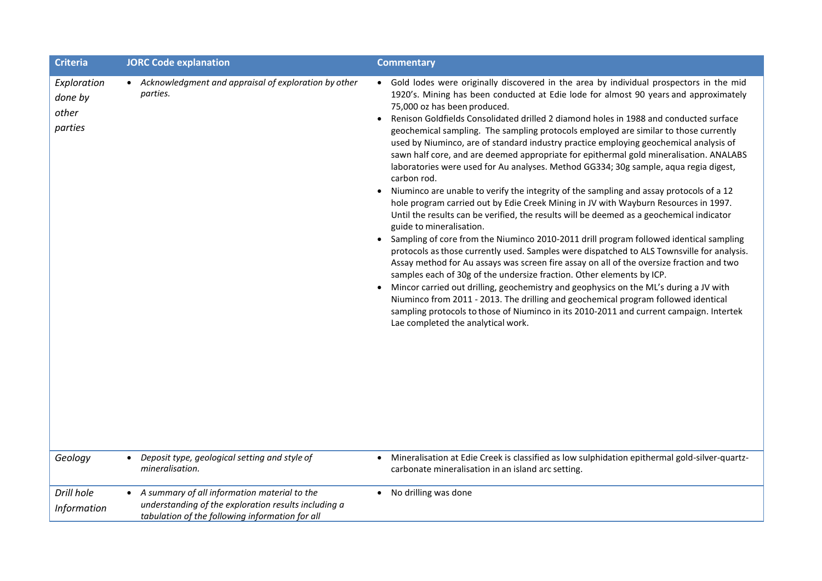| <b>Criteria</b>                            | <b>JORC Code explanation</b>                                                                                                                            | <b>Commentary</b>                                                                                                                                                                                                                                                                                                                                                                                                                                                                                                                                                                                                                                                                                                                                                                                                                                                                                                                                                                                                                                                                                                                                                                                                                                                                                                                                                                                                                                                                                                                                                                                                                                                                                                                      |
|--------------------------------------------|---------------------------------------------------------------------------------------------------------------------------------------------------------|----------------------------------------------------------------------------------------------------------------------------------------------------------------------------------------------------------------------------------------------------------------------------------------------------------------------------------------------------------------------------------------------------------------------------------------------------------------------------------------------------------------------------------------------------------------------------------------------------------------------------------------------------------------------------------------------------------------------------------------------------------------------------------------------------------------------------------------------------------------------------------------------------------------------------------------------------------------------------------------------------------------------------------------------------------------------------------------------------------------------------------------------------------------------------------------------------------------------------------------------------------------------------------------------------------------------------------------------------------------------------------------------------------------------------------------------------------------------------------------------------------------------------------------------------------------------------------------------------------------------------------------------------------------------------------------------------------------------------------------|
| Exploration<br>done by<br>other<br>parties | • Acknowledgment and appraisal of exploration by other<br>parties.                                                                                      | • Gold lodes were originally discovered in the area by individual prospectors in the mid<br>1920's. Mining has been conducted at Edie lode for almost 90 years and approximately<br>75,000 oz has been produced.<br>Renison Goldfields Consolidated drilled 2 diamond holes in 1988 and conducted surface<br>$\bullet$<br>geochemical sampling. The sampling protocols employed are similar to those currently<br>used by Niuminco, are of standard industry practice employing geochemical analysis of<br>sawn half core, and are deemed appropriate for epithermal gold mineralisation. ANALABS<br>laboratories were used for Au analyses. Method GG334; 30g sample, aqua regia digest,<br>carbon rod.<br>Niuminco are unable to verify the integrity of the sampling and assay protocols of a 12<br>$\bullet$<br>hole program carried out by Edie Creek Mining in JV with Wayburn Resources in 1997.<br>Until the results can be verified, the results will be deemed as a geochemical indicator<br>guide to mineralisation.<br>Sampling of core from the Niuminco 2010-2011 drill program followed identical sampling<br>$\bullet$<br>protocols as those currently used. Samples were dispatched to ALS Townsville for analysis.<br>Assay method for Au assays was screen fire assay on all of the oversize fraction and two<br>samples each of 30g of the undersize fraction. Other elements by ICP.<br>Mincor carried out drilling, geochemistry and geophysics on the ML's during a JV with<br>$\bullet$<br>Niuminco from 2011 - 2013. The drilling and geochemical program followed identical<br>sampling protocols to those of Niuminco in its 2010-2011 and current campaign. Intertek<br>Lae completed the analytical work. |
| Geology                                    | Deposit type, geological setting and style of<br>mineralisation.                                                                                        | Mineralisation at Edie Creek is classified as low sulphidation epithermal gold-silver-quartz-<br>carbonate mineralisation in an island arc setting.                                                                                                                                                                                                                                                                                                                                                                                                                                                                                                                                                                                                                                                                                                                                                                                                                                                                                                                                                                                                                                                                                                                                                                                                                                                                                                                                                                                                                                                                                                                                                                                    |
| Drill hole<br><b>Information</b>           | A summary of all information material to the<br>understanding of the exploration results including a<br>tabulation of the following information for all | No drilling was done<br>$\bullet$                                                                                                                                                                                                                                                                                                                                                                                                                                                                                                                                                                                                                                                                                                                                                                                                                                                                                                                                                                                                                                                                                                                                                                                                                                                                                                                                                                                                                                                                                                                                                                                                                                                                                                      |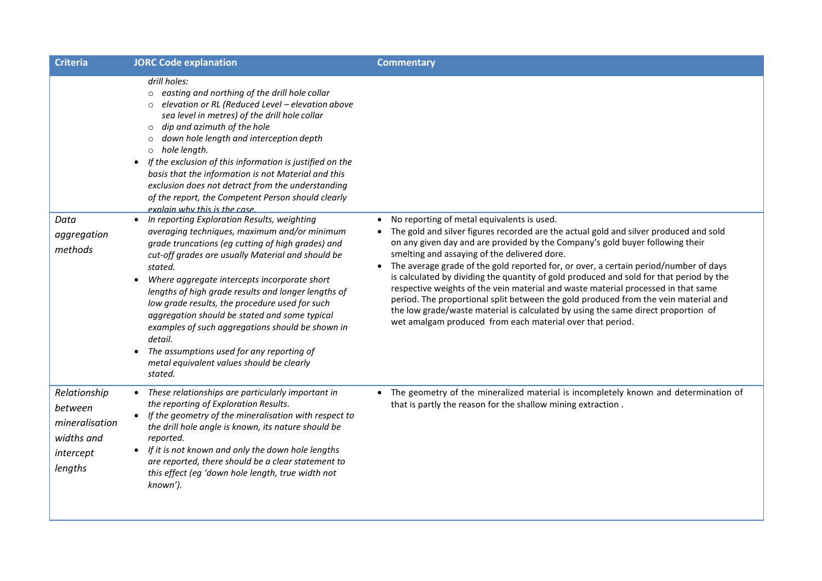| <b>Criteria</b>                                                                 | <b>JORC Code explanation</b>                                                                                                                                                                                                                                                                                                                                                                                                                                                                                                                                                                                                                                                                                                                                                                                                                                                                                                                                                                                                                                                                                                                                                              | <b>Commentary</b>                                                                                                                                                                                                                                                                                                                                                                                                                                                                                                                                                                                                                                                                                                                                                                                  |
|---------------------------------------------------------------------------------|-------------------------------------------------------------------------------------------------------------------------------------------------------------------------------------------------------------------------------------------------------------------------------------------------------------------------------------------------------------------------------------------------------------------------------------------------------------------------------------------------------------------------------------------------------------------------------------------------------------------------------------------------------------------------------------------------------------------------------------------------------------------------------------------------------------------------------------------------------------------------------------------------------------------------------------------------------------------------------------------------------------------------------------------------------------------------------------------------------------------------------------------------------------------------------------------|----------------------------------------------------------------------------------------------------------------------------------------------------------------------------------------------------------------------------------------------------------------------------------------------------------------------------------------------------------------------------------------------------------------------------------------------------------------------------------------------------------------------------------------------------------------------------------------------------------------------------------------------------------------------------------------------------------------------------------------------------------------------------------------------------|
| Data<br>aggregation<br>methods                                                  | drill holes:<br>o easting and northing of the drill hole collar<br>elevation or RL (Reduced Level - elevation above<br>sea level in metres) of the drill hole collar<br>dip and azimuth of the hole<br>$\circ$<br>down hole length and interception depth<br>$\circ$<br>hole length.<br>$\circ$<br>If the exclusion of this information is justified on the<br>$\bullet$<br>basis that the information is not Material and this<br>exclusion does not detract from the understanding<br>of the report, the Competent Person should clearly<br>explain why this is the case<br>In reporting Exploration Results, weighting<br>averaging techniques, maximum and/or minimum<br>grade truncations (eg cutting of high grades) and<br>cut-off grades are usually Material and should be<br>stated.<br>Where aggregate intercepts incorporate short<br>lengths of high grade results and longer lengths of<br>low grade results, the procedure used for such<br>aggregation should be stated and some typical<br>examples of such aggregations should be shown in<br>detail.<br>The assumptions used for any reporting of<br>$\bullet$<br>metal equivalent values should be clearly<br>stated. | No reporting of metal equivalents is used.<br>The gold and silver figures recorded are the actual gold and silver produced and sold<br>on any given day and are provided by the Company's gold buyer following their<br>smelting and assaying of the delivered dore.<br>The average grade of the gold reported for, or over, a certain period/number of days<br>$\bullet$<br>is calculated by dividing the quantity of gold produced and sold for that period by the<br>respective weights of the vein material and waste material processed in that same<br>period. The proportional split between the gold produced from the vein material and<br>the low grade/waste material is calculated by using the same direct proportion of<br>wet amalgam produced from each material over that period. |
| Relationship<br>between<br>mineralisation<br>widths and<br>intercept<br>lengths | • These relationships are particularly important in<br>the reporting of Exploration Results.<br>If the geometry of the mineralisation with respect to<br>the drill hole angle is known, its nature should be<br>reported.<br>If it is not known and only the down hole lengths<br>are reported, there should be a clear statement to<br>this effect (eg 'down hole length, true width not<br>known').                                                                                                                                                                                                                                                                                                                                                                                                                                                                                                                                                                                                                                                                                                                                                                                     | • The geometry of the mineralized material is incompletely known and determination of<br>that is partly the reason for the shallow mining extraction.                                                                                                                                                                                                                                                                                                                                                                                                                                                                                                                                                                                                                                              |